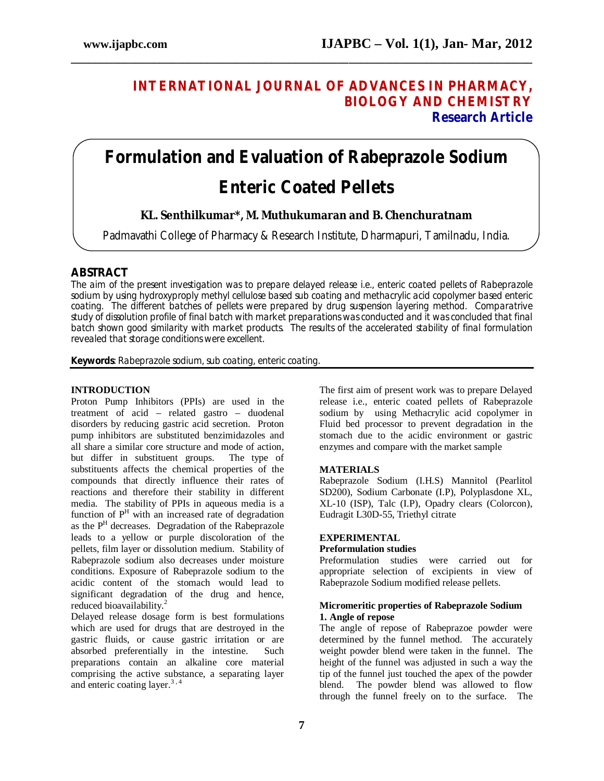# **INTERNATIONAL JOURNAL OF ADVANCES IN PHARMACY, BIOLOGY AND CHEMISTRY Research Article**

# **Formulation and Evaluation of Rabeprazole Sodium Enteric Coated Pellets**

**\_\_\_\_\_\_\_\_\_\_\_\_\_\_\_\_\_\_\_\_\_\_\_\_\_\_\_\_\_\_\_\_\_\_\_\_\_\_\_\_\_\_\_\_\_\_\_\_\_\_\_\_\_\_\_\_\_\_\_\_\_\_\_\_\_\_\_\_\_\_\_\_\_\_\_\_\_\_**

# **KL. Senthilkumar\*, M. Muthukumaran and B. Chenchuratnam**

Padmavathi College of Pharmacy & Research Institute, Dharmapuri, Tamilnadu, India.

## **ABSTRACT**

The aim of the present investigation was to prepare delayed release i.e., enteric coated pellets of Rabeprazole sodium by using hydroxyproply methyl cellulose based sub coating and methacrylic acid copolymer based enteric coating. The different batches of pellets were prepared by drug suspension layering method. Comparatrive study of dissolution profile of final batch with market preparations was conducted and it was concluded that final batch shown good similarity with market products. The results of the accelerated stability of final formulation revealed that storage conditions were excellent.

**Keywords**: Rabeprazole sodium, sub coating, enteric coating.

## **INTRODUCTION**

Proton Pump Inhibitors (PPIs) are used in the treatment of acid – related gastro – duodenal disorders by reducing gastric acid secretion. Proton pump inhibitors are substituted benzimidazoles and all share a similar core structure and mode of action, but differ in substituent groups. The type of substituents affects the chemical properties of the compounds that directly influence their rates of reactions and therefore their stability in different media. The stability of PPIs in aqueous media is a function of  $P<sup>H</sup>$  with an increased rate of degradation as the P<sup>H</sup> decreases. Degradation of the Rabeprazole leads to a yellow or purple discoloration of the pellets, film layer or dissolution medium. Stability of Rabeprazole sodium also decreases under moisture conditions. Exposure of Rabeprazole sodium to the acidic content of the stomach would lead to significant degradation of the drug and hence, reduced bioavailability.<sup>2</sup>

Delayed release dosage form is best formulations which are used for drugs that are destroyed in the gastric fluids, or cause gastric irritation or are absorbed preferentially in the intestine. preparations contain an alkaline core material comprising the active substance, a separating layer and enteric coating layer.<sup>3,4</sup>

The first aim of present work was to prepare Delayed release i.e., enteric coated pellets of Rabeprazole sodium by using Methacrylic acid copolymer in Fluid bed processor to prevent degradation in the stomach due to the acidic environment or gastric enzymes and compare with the market sample

## **MATERIALS**

Rabeprazole Sodium (I.H.S) Mannitol (Pearlitol SD200), Sodium Carbonate (I.P), Polyplasdone XL, XL-10 (ISP), Talc (I.P), Opadry clears (Colorcon), Eudragit L30D-55, Triethyl citrate

## **EXPERIMENTAL**

## **Preformulation studies**

Preformulation studies were carried out for appropriate selection of excipients in view of Rabeprazole Sodium modified release pellets.

## **Micromeritic properties of Rabeprazole Sodium 1. Angle of repose**

The angle of repose of Rabeprazoe powder were determined by the funnel method. The accurately weight powder blend were taken in the funnel. The height of the funnel was adjusted in such a way the tip of the funnel just touched the apex of the powder blend. The powder blend was allowed to flow through the funnel freely on to the surface. The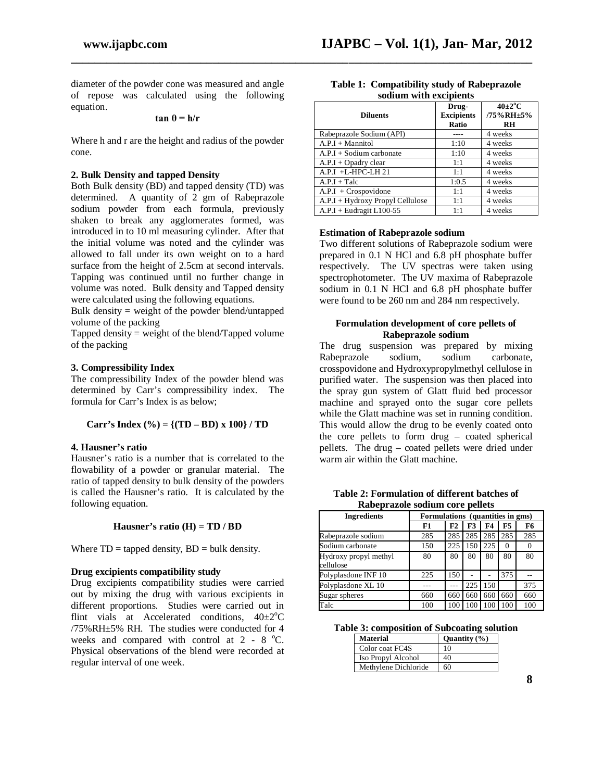diameter of the powder cone was measured and angle of repose was calculated using the following equation.

**tan θ = h/r** 

Where h and r are the height and radius of the powder cone.

## **2. Bulk Density and tapped Density**

Both Bulk density (BD) and tapped density (TD) was determined. A quantity of 2 gm of Rabeprazole sodium powder from each formula, previously shaken to break any agglomerates formed, was introduced in to 10 ml measuring cylinder. After that the initial volume was noted and the cylinder was allowed to fall under its own weight on to a hard surface from the height of 2.5cm at second intervals. Tapping was continued until no further change in volume was noted. Bulk density and Tapped density were calculated using the following equations.

Bulk density  $=$  weight of the powder blend/untapped volume of the packing

Tapped density  $=$  weight of the blend/Tapped volume of the packing

## **3. Compressibility Index**

The compressibility Index of the powder blend was determined by Carr's compressibility index. The formula for Carr's Index is as below;

Carr's Index 
$$
(\% ) = \{(TD - BD) x 100\} / TD
$$

## **4. Hausner's ratio**

Hausner's ratio is a number that is correlated to the flowability of a powder or granular material. The ratio of tapped density to bulk density of the powders is called the Hausner's ratio. It is calculated by the following equation.

## **Hausner's ratio (H) = TD / BD**

Where  $TD =$  tapped density,  $BD =$  bulk density.

## **Drug excipients compatibility study**

Drug excipients compatibility studies were carried out by mixing the drug with various excipients in different proportions. Studies were carried out in flint vials at Accelerated conditions,  $40\pm2\degree C$ /75%RH±5% RH. The studies were conducted for 4 weeks and compared with control at  $2 - 8$  °C. Physical observations of the blend were recorded at regular interval of one week.

| bourum with cacipichts           |                                     |                                             |
|----------------------------------|-------------------------------------|---------------------------------------------|
| <b>Diluents</b>                  | Drug-<br><b>Excipients</b><br>Ratio | $40\pm2\degree C$<br>/75%RH±5%<br><b>RH</b> |
| Rabeprazole Sodium (API)         |                                     | 4 weeks                                     |
| $A.P.I + Mannitol$               | 1:10                                | 4 weeks                                     |
| $A.P.I + Sodium carbonate$       | 1:10                                | 4 weeks                                     |
| $A.P.I + Opadv$ clear            | 1:1                                 | 4 weeks                                     |
| $A.P.I + L-HPC-LH 21$            | 1:1                                 | 4 weeks                                     |
| $A.P.I + Tale$                   | 1:0.5                               | 4 weeks                                     |
| $A.P.I + Crospovidone$           | 1:1                                 | 4 weeks                                     |
| A.P.I + Hydroxy Propyl Cellulose | 1:1                                 | 4 weeks                                     |
| $A.P.I + Eudragit L100-55$       | 1:1                                 | 4 weeks                                     |

#### **Table 1: Compatibility study of Rabeprazole sodium with excipients**

## **Estimation of Rabeprazole sodium**

**\_\_\_\_\_\_\_\_\_\_\_\_\_\_\_\_\_\_\_\_\_\_\_\_\_\_\_\_\_\_\_\_\_\_\_\_\_\_\_\_\_\_\_\_\_\_\_\_\_\_\_\_\_\_\_\_\_\_\_\_\_\_\_\_\_\_\_\_\_\_\_\_\_\_\_\_\_\_**

Two different solutions of Rabeprazole sodium were prepared in 0.1 N HCl and 6.8 pH phosphate buffer respectively. The UV spectras were taken using spectrophotometer. The UV maxima of Rabeprazole sodium in 0.1 N HCl and 6.8 pH phosphate buffer were found to be 260 nm and 284 nm respectively.

## **Formulation development of core pellets of Rabeprazole sodium**

The drug suspension was prepared by mixing<br>Rabeprazole sodium, sodium carbonate. Rabeprazole crosspovidone and Hydroxypropylmethyl cellulose in purified water. The suspension was then placed into the spray gun system of Glatt fluid bed processor machine and sprayed onto the sugar core pellets while the Glatt machine was set in running condition. This would allow the drug to be evenly coated onto the core pellets to form drug – coated spherical pellets. The drug – coated pellets were dried under warm air within the Glatt machine.

| Table 2: Formulation of different batches of |
|----------------------------------------------|
| Rabeprazole sodium core pellets              |

| <b>Ingredients</b>                 | Formulations (quantities in gms) |     |     |     |          |          |
|------------------------------------|----------------------------------|-----|-----|-----|----------|----------|
|                                    | F1                               | F2  | F3  | F4  | F5       | F6       |
| Rabeprazole sodium                 | 285                              | 285 | 285 | 285 | 285      | 285      |
| Sodium carbonate                   | 150                              | 225 | 150 | 225 | $\Omega$ | $\theta$ |
| Hydroxy propyl methyl<br>cellulose | 80                               | 80  | 80  | 80  | 80       | 80       |
| Polyplasdone INF 10                | 225                              | 150 |     |     | 375      |          |
| Polyplasdone XL 10                 |                                  |     | 225 | 150 |          | 375      |
| Sugar spheres                      | 660                              | 660 | 660 | 660 | 660      | 660      |
| Talc                               | 100                              | 100 | 100 | 100 | 100      | 100      |

**Table 3: composition of Subcoating solution**

| Material             | Quantity $(\% )$ |
|----------------------|------------------|
| Color coat FC4S      | 10               |
| Iso Propyl Alcohol   | 40               |
| Methylene Dichloride | 60               |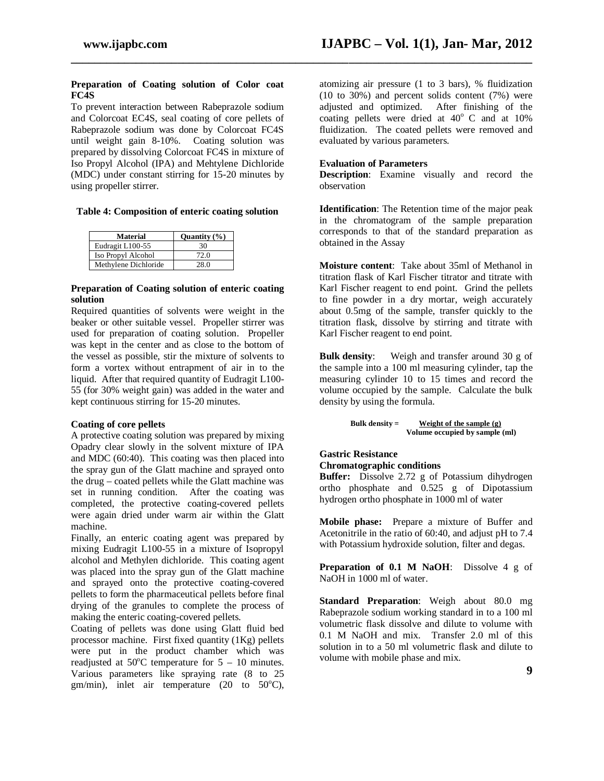## **Preparation of Coating solution of Color coat FC4S**

To prevent interaction between Rabeprazole sodium and Colorcoat EC4S, seal coating of core pellets of Rabeprazole sodium was done by Colorcoat FC4S until weight gain 8-10%. Coating solution was prepared by dissolving Colorcoat FC4S in mixture of Iso Propyl Alcohol (IPA) and Mehtylene Dichloride (MDC) under constant stirring for 15-20 minutes by using propeller stirrer.

## **Table 4: Composition of enteric coating solution**

| Material             | Quantity $(\% )$ |
|----------------------|------------------|
| Eudragit L100-55     | 30               |
| Iso Propyl Alcohol   | 72.0             |
| Methylene Dichloride | 28.0             |

## **Preparation of Coating solution of enteric coating solution**

Required quantities of solvents were weight in the beaker or other suitable vessel. Propeller stirrer was used for preparation of coating solution. Propeller was kept in the center and as close to the bottom of the vessel as possible, stir the mixture of solvents to form a vortex without entrapment of air in to the liquid. After that required quantity of Eudragit L100- 55 (for 30% weight gain) was added in the water and kept continuous stirring for 15-20 minutes.

## **Coating of core pellets**

A protective coating solution was prepared by mixing Opadry clear slowly in the solvent mixture of IPA and MDC (60:40). This coating was then placed into the spray gun of the Glatt machine and sprayed onto the drug – coated pellets while the Glatt machine was set in running condition. After the coating was completed, the protective coating-covered pellets were again dried under warm air within the Glatt machine.

Finally, an enteric coating agent was prepared by mixing Eudragit L100-55 in a mixture of Isopropyl alcohol and Methylen dichloride. This coating agent was placed into the spray gun of the Glatt machine and sprayed onto the protective coating-covered pellets to form the pharmaceutical pellets before final drying of the granules to complete the process of making the enteric coating-covered pellets.

Coating of pellets was done using Glatt fluid bed processor machine. First fixed quantity (1Kg) pellets were put in the product chamber which was readjusted at  $50^{\circ}$ C temperature for  $5 - 10$  minutes. Various parameters like spraying rate (8 to 25 gm/min), inlet air temperature (20 to  $50^{\circ}$ C),

atomizing air pressure (1 to 3 bars), % fluidization (10 to 30%) and percent solids content (7%) were adjusted and optimized. After finishing of the coating pellets were dried at  $40^{\circ}$  C and at  $10\%$ fluidization. The coated pellets were removed and evaluated by various parameters.

## **Evaluation of Parameters**

**\_\_\_\_\_\_\_\_\_\_\_\_\_\_\_\_\_\_\_\_\_\_\_\_\_\_\_\_\_\_\_\_\_\_\_\_\_\_\_\_\_\_\_\_\_\_\_\_\_\_\_\_\_\_\_\_\_\_\_\_\_\_\_\_\_\_\_\_\_\_\_\_\_\_\_\_\_\_**

**Description**: Examine visually and record the observation

**Identification**: The Retention time of the major peak in the chromatogram of the sample preparation corresponds to that of the standard preparation as obtained in the Assay

**Moisture content**: Take about 35ml of Methanol in titration flask of Karl Fischer titrator and titrate with Karl Fischer reagent to end point. Grind the pellets to fine powder in a dry mortar, weigh accurately about 0.5mg of the sample, transfer quickly to the titration flask, dissolve by stirring and titrate with Karl Fischer reagent to end point.

**Bulk density**: Weigh and transfer around 30 g of the sample into a 100 ml measuring cylinder, tap the measuring cylinder 10 to 15 times and record the volume occupied by the sample. Calculate the bulk density by using the formula.

```
Bulk density = Weight of the sample (g)
  Volume occupied by sample (ml)
```
## **Gastric Resistance Chromatographic conditions**

**Buffer:** Dissolve 2.72 g of Potassium dihydrogen ortho phosphate and 0.525 g of Dipotassium hydrogen ortho phosphate in 1000 ml of water

**Mobile phase:** Prepare a mixture of Buffer and Acetonitrile in the ratio of 60:40, and adjust pH to 7.4 with Potassium hydroxide solution, filter and degas.

**Preparation of 0.1 M NaOH**: Dissolve 4 g of NaOH in 1000 ml of water.

**Standard Preparation**: Weigh about 80.0 mg Rabeprazole sodium working standard in to a 100 ml volumetric flask dissolve and dilute to volume with 0.1 M NaOH and mix. Transfer 2.0 ml of this solution in to a 50 ml volumetric flask and dilute to volume with mobile phase and mix.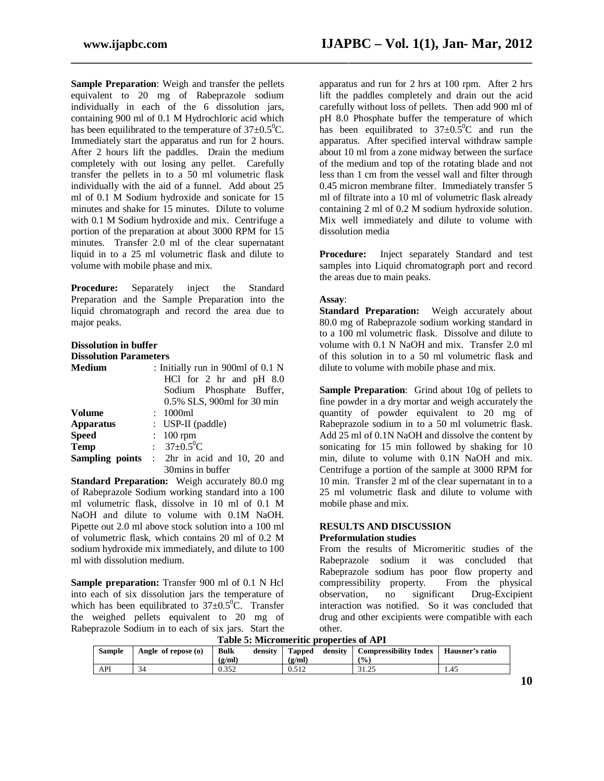**Sample Preparation**: Weigh and transfer the pellets equivalent to 20 mg of Rabeprazole sodium individually in each of the 6 dissolution jars, containing 900 ml of 0.1 M Hydrochloric acid which has been equilibrated to the temperature of  $37\pm0.5^0$ C. Immediately start the apparatus and run for 2 hours. After 2 hours lift the paddles. Drain the medium completely with out losing any pellet. Carefully transfer the pellets in to a 50 ml volumetric flask individually with the aid of a funnel. Add about 25 ml of 0.1 M Sodium hydroxide and sonicate for 15 minutes and shake for 15 minutes. Dilute to volume with 0.1 M Sodium hydroxide and mix. Centrifuge a portion of the preparation at about 3000 RPM for 15 minutes. Transfer 2.0 ml of the clear supernatant liquid in to a 25 ml volumetric flask and dilute to volume with mobile phase and mix.

**Procedure:** Separately inject the Standard Preparation and the Sample Preparation into the liquid chromatograph and record the area due to major peaks.

## **Dissolution in buffer**

**Dissolution Parameters**

| <b>Medium</b>    | : Initially run in 900ml of 0.1 N                   |
|------------------|-----------------------------------------------------|
|                  | HCl for 2 hr and pH 8.0                             |
|                  | Sodium Phosphate Buffer,                            |
|                  | 0.5% SLS, 900ml for 30 min                          |
| <b>Volume</b>    | : 1000ml                                            |
| <b>Apparatus</b> | : USP-II (paddle)                                   |
| <b>Speed</b>     | $: 100$ rpm                                         |
| <b>Temp</b>      | : $37 \pm 0.5^0$ C                                  |
|                  | <b>Sampling points</b> : 2hr in acid and 10, 20 and |
|                  | 30mins in buffer                                    |

**Standard Preparation:** Weigh accurately 80.0 mg of Rabeprazole Sodium working standard into a 100 ml volumetric flask, dissolve in 10 ml of 0.1 M NaOH and dilute to volume with 0.1M NaOH. Pipette out 2.0 ml above stock solution into a 100 ml of volumetric flask, which contains 20 ml of 0.2 M sodium hydroxide mix immediately, and dilute to 100 ml with dissolution medium.

**Sample preparation:** Transfer 900 ml of 0.1 N Hcl into each of six dissolution jars the temperature of which has been equilibrated to  $37\pm0.5^{\circ}$ C. Transfer the weighed pellets equivalent to 20 mg of Rabeprazole Sodium in to each of six jars. Start the

apparatus and run for 2 hrs at 100 rpm. After 2 hrs lift the paddles completely and drain out the acid carefully without loss of pellets. Then add 900 ml of pH 8.0 Phosphate buffer the temperature of which has been equilibrated to  $37\pm0.5^{\circ}$ C and run the apparatus. After specified interval withdraw sample about 10 ml from a zone midway between the surface of the medium and top of the rotating blade and not less than 1 cm from the vessel wall and filter through 0.45 micron membrane filter. Immediately transfer 5 ml of filtrate into a 10 ml of volumetric flask already containing 2 ml of 0.2 M sodium hydroxide solution. Mix well immediately and dilute to volume with dissolution media

**Procedure:** Inject separately Standard and test samples into Liquid chromatograph port and record the areas due to main peaks.

## **Assay**:

**\_\_\_\_\_\_\_\_\_\_\_\_\_\_\_\_\_\_\_\_\_\_\_\_\_\_\_\_\_\_\_\_\_\_\_\_\_\_\_\_\_\_\_\_\_\_\_\_\_\_\_\_\_\_\_\_\_\_\_\_\_\_\_\_\_\_\_\_\_\_\_\_\_\_\_\_\_\_**

**Standard Preparation:** Weigh accurately about 80.0 mg of Rabeprazole sodium working standard in to a 100 ml volumetric flask. Dissolve and dilute to volume with 0.1 N NaOH and mix. Transfer 2.0 ml of this solution in to a 50 ml volumetric flask and dilute to volume with mobile phase and mix.

**Sample Preparation**: Grind about 10g of pellets to fine powder in a dry mortar and weigh accurately the quantity of powder equivalent to 20 mg of Rabeprazole sodium in to a 50 ml volumetric flask. Add 25 ml of 0.1N NaOH and dissolve the content by sonicating for 15 min followed by shaking for 10 min, dilute to volume with 0.1N NaOH and mix. Centrifuge a portion of the sample at 3000 RPM for 10 min. Transfer 2 ml of the clear supernatant in to a 25 ml volumetric flask and dilute to volume with mobile phase and mix.

# **RESULTS AND DISCUSSION**

## **Preformulation studies**

From the results of Micromeritic studies of the Rabeprazole sodium it was concluded that Rabeprazole sodium has poor flow property and<br>compressibility property. From the physical compressibility property. observation, no significant Drug-Excipient interaction was notified. So it was concluded that drug and other excipients were compatible with each other.

**Table 5: Micromeritic properties of API**

|               |                     |             |         | Table 5: MICTOMETRIC DI ODEI RES OF AFT |         |                              |                 |
|---------------|---------------------|-------------|---------|-----------------------------------------|---------|------------------------------|-----------------|
| <b>Sample</b> | Angle of repose (o) | <b>Bulk</b> | density | <b>Tapped</b>                           | density | <b>Compressibility Index</b> | Hausner's ratio |
|               |                     | (g/ml)      |         | (g/ml)                                  |         | $\frac{(0)}{0}$              |                 |
| API           | 34                  | 0.352       |         | 0.512                                   |         | 31.25                        | 1.45            |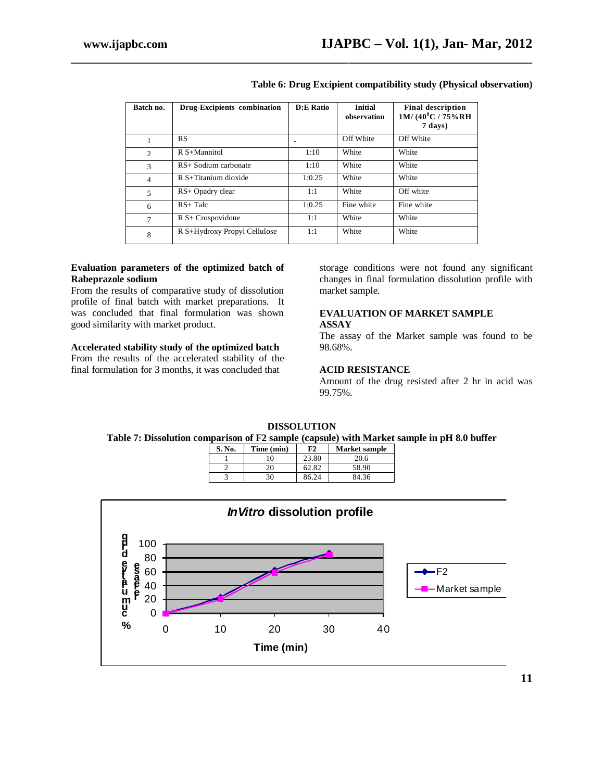| Batch no.      | Drug-Excipients combination  | <b>D:E Ratio</b> | <b>Initial</b><br>observation | <b>Final description</b><br>$1M/(40^0C/75\%RH)$<br>7 days) |
|----------------|------------------------------|------------------|-------------------------------|------------------------------------------------------------|
|                | RS.                          |                  | Off White                     | Off White                                                  |
| $\mathfrak{2}$ | $R S+M$ annitol              | 1:10             | White                         | White                                                      |
| 3              | RS+ Sodium carbonate         | 1:10             | White                         | White                                                      |
| $\overline{4}$ | R S+Titanium dioxide         | 1:0.25           | White                         | White                                                      |
| 5              | RS+ Opadry clear             | 1:1              | White                         | Off white                                                  |
| 6              | $RS+Talc$                    | 1:0.25           | Fine white                    | Fine white                                                 |
| 7              | $R S+ Crospovidone$          | 1:1              | White                         | White                                                      |
| 8              | R S+Hydroxy Propyl Cellulose | 1:1              | White                         | White                                                      |

**\_\_\_\_\_\_\_\_\_\_\_\_\_\_\_\_\_\_\_\_\_\_\_\_\_\_\_\_\_\_\_\_\_\_\_\_\_\_\_\_\_\_\_\_\_\_\_\_\_\_\_\_\_\_\_\_\_\_\_\_\_\_\_\_\_\_\_\_\_\_\_\_\_\_\_\_\_\_**

## **Table 6: Drug Excipient compatibility study (Physical observation)**

## **Evaluation parameters of the optimized batch of Rabeprazole sodium**

From the results of comparative study of dissolution profile of final batch with market preparations. It was concluded that final formulation was shown good similarity with market product.

## **Accelerated stability study of the optimized batch**

From the results of the accelerated stability of the final formulation for 3 months, it was concluded that

storage conditions were not found any significant changes in final formulation dissolution profile with market sample.

## **EVALUATION OF MARKET SAMPLE ASSAY**

The assay of the Market sample was found to be 98.68%.

## **ACID RESISTANCE**

Amount of the drug resisted after 2 hr in acid was 99.75%.

## **DISSOLUTION**

## **Table 7: Dissolution comparison of F2 sample (capsule) with Market sample in pH 8.0 buffer**

| S. No. | Time (min) | F2    | <b>Market sample</b> |
|--------|------------|-------|----------------------|
|        |            | 23.80 | 20.6                 |
|        |            | 62.82 | 58.90                |
|        | 30         | 86.24 | 84.36                |

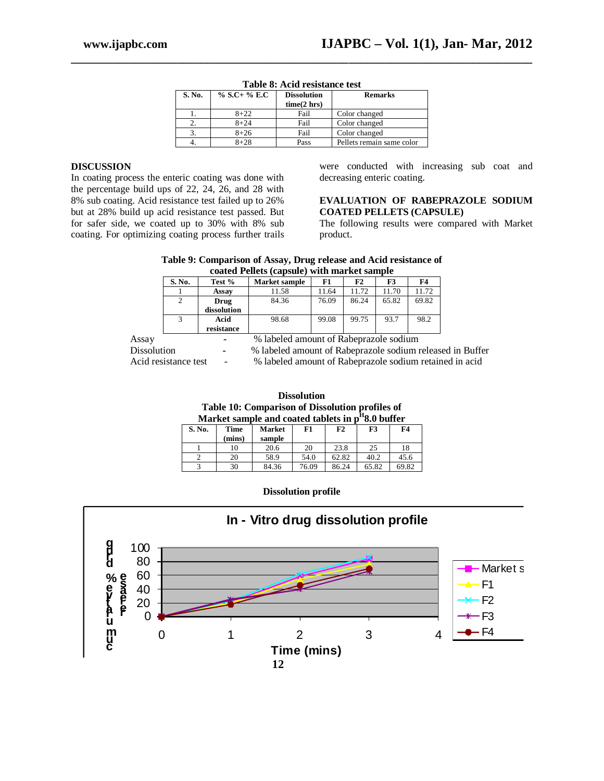|        |              | Table 0. Aciu resistance icst |                           |
|--------|--------------|-------------------------------|---------------------------|
| S. No. | % S.C+ % E.C | <b>Dissolution</b>            | <b>Remarks</b>            |
|        |              | time(2 hrs)                   |                           |
|        | $8 + 22$     | Fail                          | Color changed             |
|        | $8 + 24$     | Fail                          | Color changed             |
|        | $8 + 26$     | Fail                          | Color changed             |
|        | $8 + 28$     | Pass                          | Pellets remain same color |

| Table 8: Acid resistance test |
|-------------------------------|
|-------------------------------|

**\_\_\_\_\_\_\_\_\_\_\_\_\_\_\_\_\_\_\_\_\_\_\_\_\_\_\_\_\_\_\_\_\_\_\_\_\_\_\_\_\_\_\_\_\_\_\_\_\_\_\_\_\_\_\_\_\_\_\_\_\_\_\_\_\_\_\_\_\_\_\_\_\_\_\_\_\_\_**

#### **DISCUSSION**

In coating process the enteric coating was done with the percentage build ups of 22, 24, 26, and 28 with 8% sub coating. Acid resistance test failed up to 26% but at 28% build up acid resistance test passed. But for safer side, we coated up to 30% with 8% sub coating. For optimizing coating process further trails

were conducted with increasing sub coat and decreasing enteric coating.

## **EVALUATION OF RABEPRAZOLE SODIUM COATED PELLETS (CAPSULE)**

The following results were compared with Market product.

#### **Table 9: Comparison of Assay, Drug release and Acid resistance of coated Pellets (capsule) with market sample**

|             |                       |             | coultu I entro (capbail) with marrier bampic                   |       |       |       |       |
|-------------|-----------------------|-------------|----------------------------------------------------------------|-------|-------|-------|-------|
|             | S. No.                | Test %      | Market sample                                                  | F1    | F2    | F3    | F4    |
|             |                       | Assay       | 11.58                                                          | 11.64 | 11.72 | 11.70 | 11.72 |
|             | 2                     | Drug        | 84.36                                                          | 76.09 | 86.24 | 65.82 | 69.82 |
|             |                       | dissolution |                                                                |       |       |       |       |
|             |                       | Acid        | 98.68                                                          | 99.08 | 99.75 | 93.7  | 98.2  |
|             |                       | resistance  |                                                                |       |       |       |       |
| Assay       |                       |             | % labeled amount of Rabeprazole sodium                         |       |       |       |       |
| Dissolution |                       | ۰           | % labeled amount of Rabeprazole sodium released in Buffer      |       |       |       |       |
|             | A oid registance tost |             | $\alpha$ labeled amount of Paberrazola sodium retained in agid |       |       |       |       |

Acid resistance test - % labeled amount of Rabeprazole sodium retained in acid

**Dissolution Table 10: Comparison of Dissolution profiles of Market sample and coated tablets in p H 8.0 buffer**

| S. No. | Time<br>(mins) | <b>Market</b><br>sample | F1    | F2    | F3    | F4    |
|--------|----------------|-------------------------|-------|-------|-------|-------|
|        | 10             | 20.6                    | 20    | 23.8  | 25    | 18    |
|        | 20             | 58.9                    | 54.0  | 62.82 | 40.2  | 45.6  |
|        | 30             | 84.36                   | 76.09 | 86.24 | 65.82 | 69.82 |

**Dissolution profile**

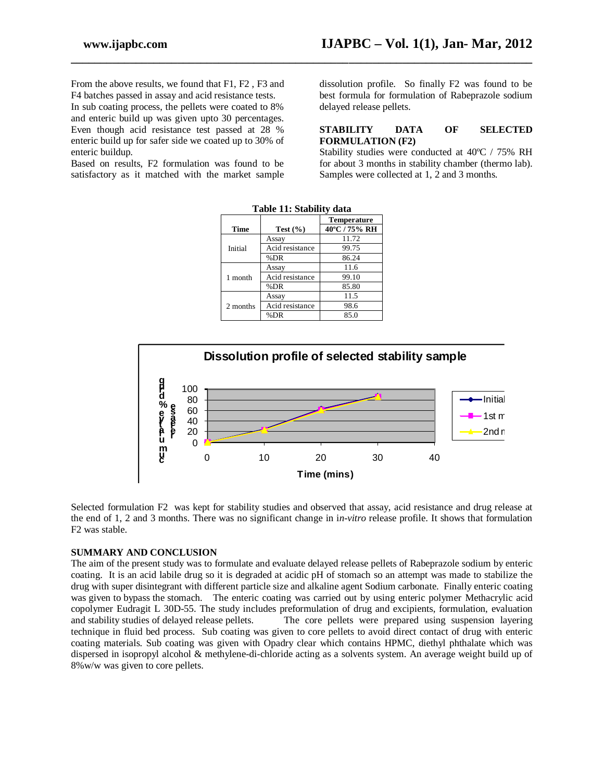From the above results, we found that F1, F2 , F3 and F4 batches passed in assay and acid resistance tests.

In sub coating process, the pellets were coated to 8% and enteric build up was given upto 30 percentages. Even though acid resistance test passed at 28 % enteric build up for safer side we coated up to 30% of enteric buildup.

Based on results, F2 formulation was found to be satisfactory as it matched with the market sample dissolution profile. So finally F2 was found to be best formula for formulation of Rabeprazole sodium delayed release pellets.

## **STABILITY DATA OF SELECTED FORMULATION (F2)**

Stability studies were conducted at 40ºC / 75% RH for about 3 months in stability chamber (thermo lab). Samples were collected at 1, 2 and 3 months.

|             |                 | <b>Temperature</b> |  |
|-------------|-----------------|--------------------|--|
| <b>Time</b> | Test $(\% )$    | 40°C / 75% RH      |  |
|             | Assay           | 11.72              |  |
| Initial     | Acid resistance | 99.75              |  |
|             | %DR             | 86.24              |  |
|             | Assay           | 11.6               |  |
| 1 month     | Acid resistance | 99.10              |  |
|             | %DR             | 85.80              |  |
|             | Assay           | 11.5               |  |
| 2 months    | Acid resistance | 98.6               |  |
|             | %DR             | 85.0               |  |

**Table 11: Stability data**

**\_\_\_\_\_\_\_\_\_\_\_\_\_\_\_\_\_\_\_\_\_\_\_\_\_\_\_\_\_\_\_\_\_\_\_\_\_\_\_\_\_\_\_\_\_\_\_\_\_\_\_\_\_\_\_\_\_\_\_\_\_\_\_\_\_\_\_\_\_\_\_\_\_\_\_\_\_\_**



Selected formulation F2 was kept for stability studies and observed that assay, acid resistance and drug release at the end of 1, 2 and 3 months. There was no significant change in i*n-vitro* release profile. It shows that formulation F2 was stable.

## **SUMMARY AND CONCLUSION**

The aim of the present study was to formulate and evaluate delayed release pellets of Rabeprazole sodium by enteric coating. It is an acid labile drug so it is degraded at acidic pH of stomach so an attempt was made to stabilize the drug with super disintegrant with different particle size and alkaline agent Sodium carbonate. Finally enteric coating was given to bypass the stomach. The enteric coating was carried out by using enteric polymer Methacrylic acid copolymer Eudragit L 30D-55. The study includes preformulation of drug and excipients, formulation, evaluation and stability studies of delayed release pellets. The core pellets were prepared using suspension layering The core pellets were prepared using suspension layering. technique in fluid bed process. Sub coating was given to core pellets to avoid direct contact of drug with enteric coating materials. Sub coating was given with Opadry clear which contains HPMC, diethyl phthalate which was dispersed in isopropyl alcohol & methylene-di-chloride acting as a solvents system. An average weight build up of 8%w/w was given to core pellets.